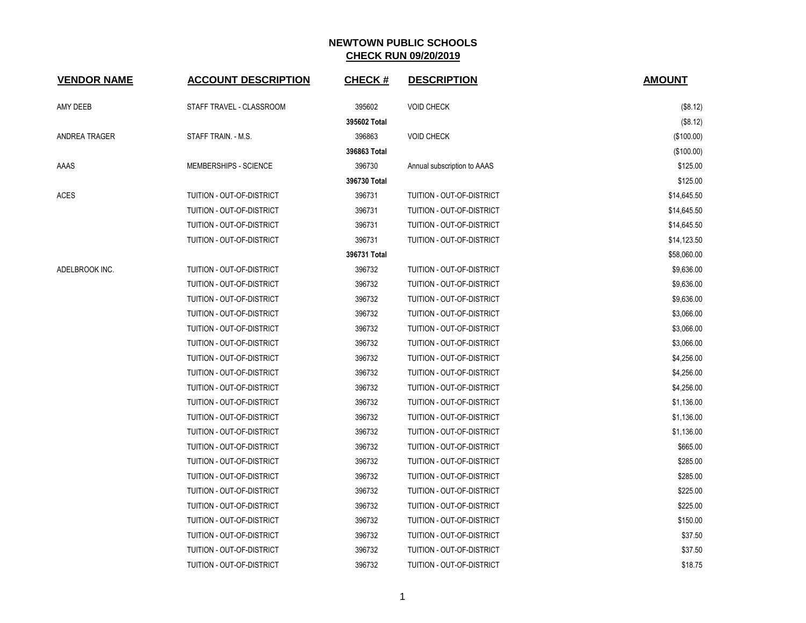| <b>VENDOR NAME</b> | <b>ACCOUNT DESCRIPTION</b>       | <b>CHECK#</b> | <b>DESCRIPTION</b>               | <b>AMOUNT</b> |
|--------------------|----------------------------------|---------------|----------------------------------|---------------|
| AMY DEEB           | STAFF TRAVEL - CLASSROOM         | 395602        | <b>VOID CHECK</b>                | (\$8.12)      |
|                    |                                  | 395602 Total  |                                  | (\$8.12)      |
| ANDREA TRAGER      | STAFF TRAIN. - M.S.              | 396863        | <b>VOID CHECK</b>                | (\$100.00)    |
|                    |                                  | 396863 Total  |                                  | (\$100.00)    |
| AAAS               | MEMBERSHIPS - SCIENCE            | 396730        | Annual subscription to AAAS      | \$125.00      |
|                    |                                  | 396730 Total  |                                  | \$125.00      |
| <b>ACES</b>        | <b>TUITION - OUT-OF-DISTRICT</b> | 396731        | <b>TUITION - OUT-OF-DISTRICT</b> | \$14,645.50   |
|                    | TUITION - OUT-OF-DISTRICT        | 396731        | TUITION - OUT-OF-DISTRICT        | \$14,645.50   |
|                    | TUITION - OUT-OF-DISTRICT        | 396731        | TUITION - OUT-OF-DISTRICT        | \$14,645.50   |
|                    | TUITION - OUT-OF-DISTRICT        | 396731        | TUITION - OUT-OF-DISTRICT        | \$14,123.50   |
|                    |                                  | 396731 Total  |                                  | \$58,060.00   |
| ADELBROOK INC.     | TUITION - OUT-OF-DISTRICT        | 396732        | TUITION - OUT-OF-DISTRICT        | \$9,636.00    |
|                    | TUITION - OUT-OF-DISTRICT        | 396732        | TUITION - OUT-OF-DISTRICT        | \$9,636.00    |
|                    | TUITION - OUT-OF-DISTRICT        | 396732        | TUITION - OUT-OF-DISTRICT        | \$9,636.00    |
|                    | TUITION - OUT-OF-DISTRICT        | 396732        | TUITION - OUT-OF-DISTRICT        | \$3,066.00    |
|                    | <b>TUITION - OUT-OF-DISTRICT</b> | 396732        | <b>TUITION - OUT-OF-DISTRICT</b> | \$3,066.00    |
|                    | TUITION - OUT-OF-DISTRICT        | 396732        | TUITION - OUT-OF-DISTRICT        | \$3,066.00    |
|                    | TUITION - OUT-OF-DISTRICT        | 396732        | TUITION - OUT-OF-DISTRICT        | \$4,256.00    |
|                    | TUITION - OUT-OF-DISTRICT        | 396732        | TUITION - OUT-OF-DISTRICT        | \$4,256.00    |
|                    | TUITION - OUT-OF-DISTRICT        | 396732        | TUITION - OUT-OF-DISTRICT        | \$4,256.00    |
|                    | TUITION - OUT-OF-DISTRICT        | 396732        | TUITION - OUT-OF-DISTRICT        | \$1,136.00    |
|                    | TUITION - OUT-OF-DISTRICT        | 396732        | TUITION - OUT-OF-DISTRICT        | \$1,136.00    |
|                    | TUITION - OUT-OF-DISTRICT        | 396732        | TUITION - OUT-OF-DISTRICT        | \$1,136.00    |
|                    | TUITION - OUT-OF-DISTRICT        | 396732        | TUITION - OUT-OF-DISTRICT        | \$665.00      |
|                    | <b>TUITION - OUT-OF-DISTRICT</b> | 396732        | TUITION - OUT-OF-DISTRICT        | \$285.00      |
|                    | TUITION - OUT-OF-DISTRICT        | 396732        | TUITION - OUT-OF-DISTRICT        | \$285.00      |
|                    | TUITION - OUT-OF-DISTRICT        | 396732        | TUITION - OUT-OF-DISTRICT        | \$225.00      |
|                    | TUITION - OUT-OF-DISTRICT        | 396732        | TUITION - OUT-OF-DISTRICT        | \$225.00      |
|                    | TUITION - OUT-OF-DISTRICT        | 396732        | TUITION - OUT-OF-DISTRICT        | \$150.00      |
|                    | TUITION - OUT-OF-DISTRICT        | 396732        | TUITION - OUT-OF-DISTRICT        | \$37.50       |
|                    | TUITION - OUT-OF-DISTRICT        | 396732        | TUITION - OUT-OF-DISTRICT        | \$37.50       |
|                    | TUITION - OUT-OF-DISTRICT        | 396732        | TUITION - OUT-OF-DISTRICT        | \$18.75       |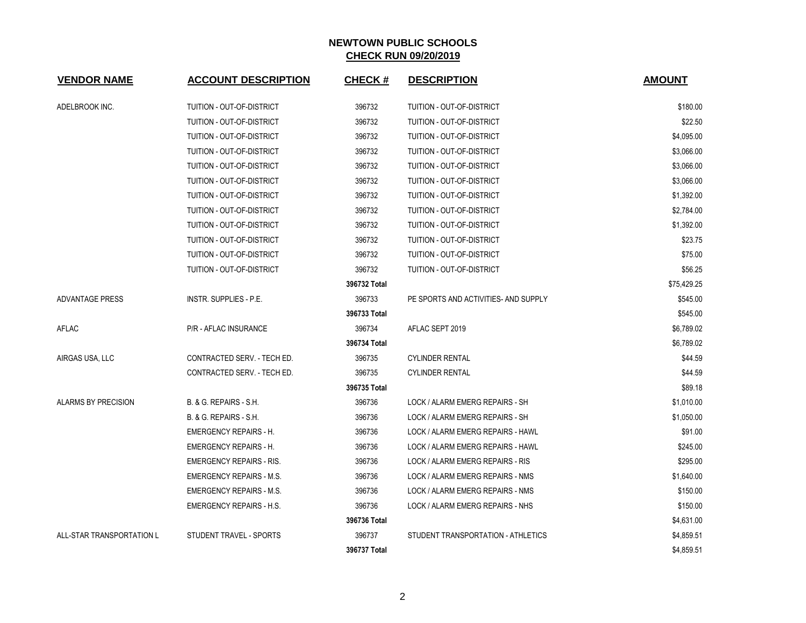| <b>VENDOR NAME</b>         | <b>ACCOUNT DESCRIPTION</b>       | <b>CHECK#</b> | <b>DESCRIPTION</b>                   | <b>AMOUNT</b> |
|----------------------------|----------------------------------|---------------|--------------------------------------|---------------|
| ADELBROOK INC.             | TUITION - OUT-OF-DISTRICT        | 396732        | TUITION - OUT-OF-DISTRICT            | \$180.00      |
|                            | TUITION - OUT-OF-DISTRICT        | 396732        | TUITION - OUT-OF-DISTRICT            | \$22.50       |
|                            | TUITION - OUT-OF-DISTRICT        | 396732        | TUITION - OUT-OF-DISTRICT            | \$4,095.00    |
|                            | TUITION - OUT-OF-DISTRICT        | 396732        | <b>TUITION - OUT-OF-DISTRICT</b>     | \$3,066.00    |
|                            | <b>TUITION - OUT-OF-DISTRICT</b> | 396732        | TUITION - OUT-OF-DISTRICT            | \$3,066.00    |
|                            | TUITION - OUT-OF-DISTRICT        | 396732        | TUITION - OUT-OF-DISTRICT            | \$3,066.00    |
|                            | TUITION - OUT-OF-DISTRICT        | 396732        | TUITION - OUT-OF-DISTRICT            | \$1,392.00    |
|                            | TUITION - OUT-OF-DISTRICT        | 396732        | TUITION - OUT-OF-DISTRICT            | \$2,784.00    |
|                            | TUITION - OUT-OF-DISTRICT        | 396732        | TUITION - OUT-OF-DISTRICT            | \$1,392.00    |
|                            | TUITION - OUT-OF-DISTRICT        | 396732        | TUITION - OUT-OF-DISTRICT            | \$23.75       |
|                            | TUITION - OUT-OF-DISTRICT        | 396732        | TUITION - OUT-OF-DISTRICT            | \$75.00       |
|                            | TUITION - OUT-OF-DISTRICT        | 396732        | TUITION - OUT-OF-DISTRICT            | \$56.25       |
|                            |                                  | 396732 Total  |                                      | \$75,429.25   |
| <b>ADVANTAGE PRESS</b>     | INSTR. SUPPLIES - P.E.           | 396733        | PE SPORTS AND ACTIVITIES- AND SUPPLY | \$545.00      |
|                            |                                  | 396733 Total  |                                      | \$545.00      |
| AFLAC                      | P/R - AFLAC INSURANCE            | 396734        | AFLAC SEPT 2019                      | \$6,789.02    |
|                            |                                  | 396734 Total  |                                      | \$6,789.02    |
| AIRGAS USA, LLC            | CONTRACTED SERV. - TECH ED.      | 396735        | <b>CYLINDER RENTAL</b>               | \$44.59       |
|                            | CONTRACTED SERV. - TECH ED.      | 396735        | <b>CYLINDER RENTAL</b>               | \$44.59       |
|                            |                                  | 396735 Total  |                                      | \$89.18       |
| <b>ALARMS BY PRECISION</b> | B. & G. REPAIRS - S.H.           | 396736        | LOCK / ALARM EMERG REPAIRS - SH      | \$1,010.00    |
|                            | B. & G. REPAIRS - S.H.           | 396736        | LOCK / ALARM EMERG REPAIRS - SH      | \$1,050.00    |
|                            | <b>EMERGENCY REPAIRS - H.</b>    | 396736        | LOCK / ALARM EMERG REPAIRS - HAWL    | \$91.00       |
|                            | <b>EMERGENCY REPAIRS - H.</b>    | 396736        | LOCK / ALARM EMERG REPAIRS - HAWL    | \$245.00      |
|                            | <b>EMERGENCY REPAIRS - RIS.</b>  | 396736        | LOCK / ALARM EMERG REPAIRS - RIS     | \$295.00      |
|                            | <b>EMERGENCY REPAIRS - M.S.</b>  | 396736        | LOCK / ALARM EMERG REPAIRS - NMS     | \$1,640.00    |
|                            | <b>EMERGENCY REPAIRS - M.S.</b>  | 396736        | LOCK / ALARM EMERG REPAIRS - NMS     | \$150.00      |
|                            | <b>EMERGENCY REPAIRS - H.S.</b>  | 396736        | LOCK / ALARM EMERG REPAIRS - NHS     | \$150.00      |
|                            |                                  | 396736 Total  |                                      | \$4,631.00    |
| ALL-STAR TRANSPORTATION L  | STUDENT TRAVEL - SPORTS          | 396737        | STUDENT TRANSPORTATION - ATHLETICS   | \$4,859.51    |
|                            |                                  | 396737 Total  |                                      | \$4,859.51    |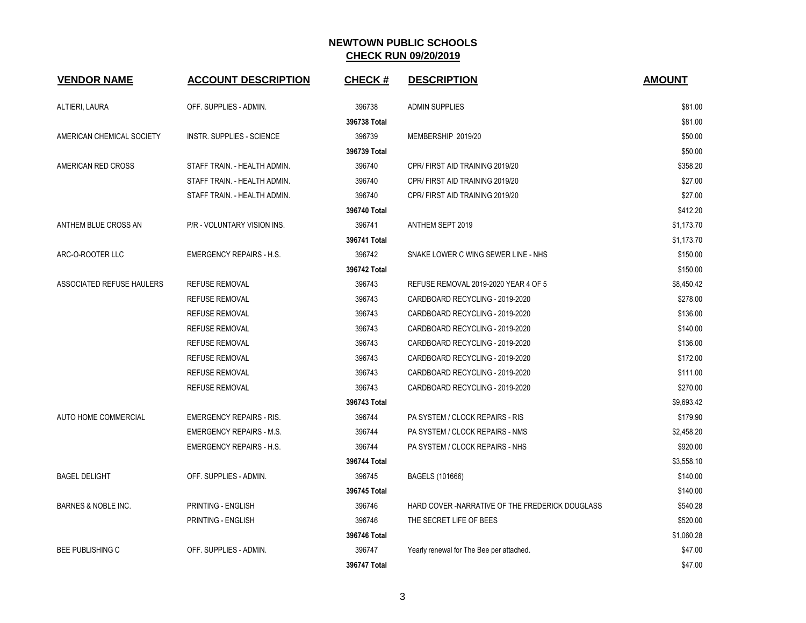| <b>VENDOR NAME</b>        | <b>ACCOUNT DESCRIPTION</b>       | <b>CHECK#</b> | <b>DESCRIPTION</b>                               | <b>AMOUNT</b> |
|---------------------------|----------------------------------|---------------|--------------------------------------------------|---------------|
| ALTIERI, LAURA            | OFF. SUPPLIES - ADMIN.           | 396738        | <b>ADMIN SUPPLIES</b>                            | \$81.00       |
|                           |                                  | 396738 Total  |                                                  | \$81.00       |
| AMERICAN CHEMICAL SOCIETY | <b>INSTR. SUPPLIES - SCIENCE</b> | 396739        | MEMBERSHIP 2019/20                               | \$50.00       |
|                           |                                  | 396739 Total  |                                                  | \$50.00       |
| AMERICAN RED CROSS        | STAFF TRAIN. - HEALTH ADMIN.     | 396740        | CPR/FIRST AID TRAINING 2019/20                   | \$358.20      |
|                           | STAFF TRAIN. - HEALTH ADMIN.     | 396740        | CPR/FIRST AID TRAINING 2019/20                   | \$27.00       |
|                           | STAFF TRAIN. - HEALTH ADMIN.     | 396740        | CPR/FIRST AID TRAINING 2019/20                   | \$27.00       |
|                           |                                  | 396740 Total  |                                                  | \$412.20      |
| ANTHEM BLUE CROSS AN      | P/R - VOLUNTARY VISION INS.      | 396741        | ANTHEM SEPT 2019                                 | \$1,173.70    |
|                           |                                  | 396741 Total  |                                                  | \$1,173.70    |
| ARC-O-ROOTER LLC          | <b>EMERGENCY REPAIRS - H.S.</b>  | 396742        | SNAKE LOWER C WING SEWER LINE - NHS              | \$150.00      |
|                           |                                  | 396742 Total  |                                                  | \$150.00      |
| ASSOCIATED REFUSE HAULERS | <b>REFUSE REMOVAL</b>            | 396743        | REFUSE REMOVAL 2019-2020 YEAR 4 OF 5             | \$8,450.42    |
|                           | <b>REFUSE REMOVAL</b>            | 396743        | CARDBOARD RECYCLING - 2019-2020                  | \$278.00      |
|                           | <b>REFUSE REMOVAL</b>            | 396743        | CARDBOARD RECYCLING - 2019-2020                  | \$136.00      |
|                           | <b>REFUSE REMOVAL</b>            | 396743        | CARDBOARD RECYCLING - 2019-2020                  | \$140.00      |
|                           | <b>REFUSE REMOVAL</b>            | 396743        | CARDBOARD RECYCLING - 2019-2020                  | \$136.00      |
|                           | <b>REFUSE REMOVAL</b>            | 396743        | CARDBOARD RECYCLING - 2019-2020                  | \$172.00      |
|                           | <b>REFUSE REMOVAL</b>            | 396743        | CARDBOARD RECYCLING - 2019-2020                  | \$111.00      |
|                           | <b>REFUSE REMOVAL</b>            | 396743        | CARDBOARD RECYCLING - 2019-2020                  | \$270.00      |
|                           |                                  | 396743 Total  |                                                  | \$9,693.42    |
| AUTO HOME COMMERCIAL      | <b>EMERGENCY REPAIRS - RIS.</b>  | 396744        | PA SYSTEM / CLOCK REPAIRS - RIS                  | \$179.90      |
|                           | <b>EMERGENCY REPAIRS - M.S.</b>  | 396744        | PA SYSTEM / CLOCK REPAIRS - NMS                  | \$2,458.20    |
|                           | <b>EMERGENCY REPAIRS - H.S.</b>  | 396744        | PA SYSTEM / CLOCK REPAIRS - NHS                  | \$920.00      |
|                           |                                  | 396744 Total  |                                                  | \$3,558.10    |
| <b>BAGEL DELIGHT</b>      | OFF. SUPPLIES - ADMIN.           | 396745        | BAGELS (101666)                                  | \$140.00      |
|                           |                                  | 396745 Total  |                                                  | \$140.00      |
| BARNES & NOBLE INC.       | PRINTING - ENGLISH               | 396746        | HARD COVER - NARRATIVE OF THE FREDERICK DOUGLASS | \$540.28      |
|                           | PRINTING - ENGLISH               | 396746        | THE SECRET LIFE OF BEES                          | \$520.00      |
|                           |                                  | 396746 Total  |                                                  | \$1,060.28    |
| <b>BEE PUBLISHING C</b>   | OFF. SUPPLIES - ADMIN.           | 396747        | Yearly renewal for The Bee per attached.         | \$47.00       |
|                           |                                  | 396747 Total  |                                                  | \$47.00       |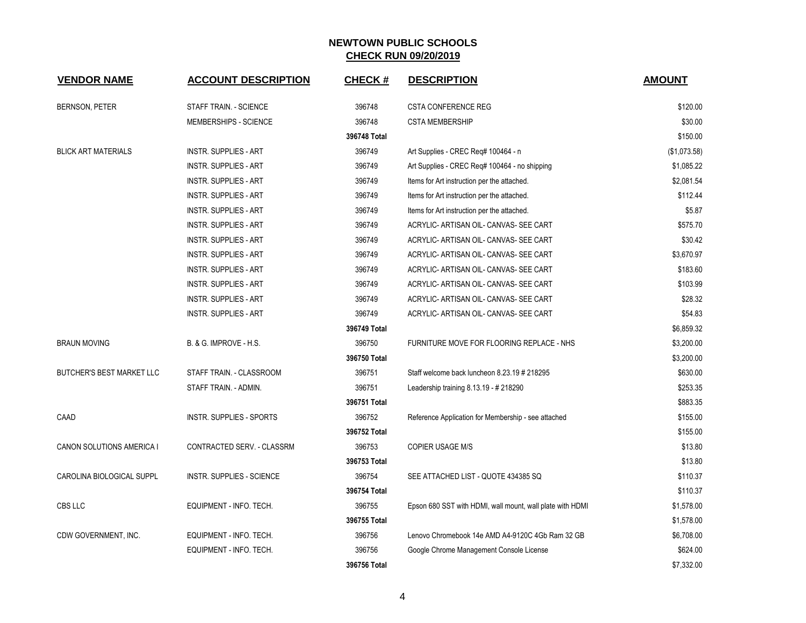| <b>VENDOR NAME</b>               | <b>ACCOUNT DESCRIPTION</b>      | <b>CHECK#</b> | <b>DESCRIPTION</b>                                        | <b>AMOUNT</b> |
|----------------------------------|---------------------------------|---------------|-----------------------------------------------------------|---------------|
| BERNSON, PETER                   | STAFF TRAIN. - SCIENCE          | 396748        | <b>CSTA CONFERENCE REG</b>                                | \$120.00      |
|                                  | <b>MEMBERSHIPS - SCIENCE</b>    | 396748        | <b>CSTA MEMBERSHIP</b>                                    | \$30.00       |
|                                  |                                 | 396748 Total  |                                                           | \$150.00      |
| <b>BLICK ART MATERIALS</b>       | <b>INSTR. SUPPLIES - ART</b>    | 396749        | Art Supplies - CREC Reg# 100464 - n                       | (\$1,073.58)  |
|                                  | <b>INSTR. SUPPLIES - ART</b>    | 396749        | Art Supplies - CREC Reg# 100464 - no shipping             | \$1,085.22    |
|                                  | <b>INSTR. SUPPLIES - ART</b>    | 396749        | Items for Art instruction per the attached.               | \$2,081.54    |
|                                  | <b>INSTR. SUPPLIES - ART</b>    | 396749        | Items for Art instruction per the attached.               | \$112.44      |
|                                  | <b>INSTR. SUPPLIES - ART</b>    | 396749        | Items for Art instruction per the attached.               | \$5.87        |
|                                  | <b>INSTR. SUPPLIES - ART</b>    | 396749        | ACRYLIC- ARTISAN OIL- CANVAS- SEE CART                    | \$575.70      |
|                                  | <b>INSTR. SUPPLIES - ART</b>    | 396749        | ACRYLIC- ARTISAN OIL- CANVAS- SEE CART                    | \$30.42       |
|                                  | <b>INSTR. SUPPLIES - ART</b>    | 396749        | ACRYLIC- ARTISAN OIL- CANVAS- SEE CART                    | \$3,670.97    |
|                                  | <b>INSTR. SUPPLIES - ART</b>    | 396749        | ACRYLIC- ARTISAN OIL- CANVAS- SEE CART                    | \$183.60      |
|                                  | <b>INSTR. SUPPLIES - ART</b>    | 396749        | ACRYLIC- ARTISAN OIL- CANVAS- SEE CART                    | \$103.99      |
|                                  | <b>INSTR. SUPPLIES - ART</b>    | 396749        | ACRYLIC- ARTISAN OIL- CANVAS- SEE CART                    | \$28.32       |
|                                  | <b>INSTR. SUPPLIES - ART</b>    | 396749        | ACRYLIC- ARTISAN OIL- CANVAS- SEE CART                    | \$54.83       |
|                                  |                                 | 396749 Total  |                                                           | \$6,859.32    |
| <b>BRAUN MOVING</b>              | B. & G. IMPROVE - H.S.          | 396750        | FURNITURE MOVE FOR FLOORING REPLACE - NHS                 | \$3,200.00    |
|                                  |                                 | 396750 Total  |                                                           | \$3,200.00    |
| <b>BUTCHER'S BEST MARKET LLC</b> | STAFF TRAIN. - CLASSROOM        | 396751        | Staff welcome back luncheon 8.23.19 # 218295              | \$630.00      |
|                                  | STAFF TRAIN. - ADMIN.           | 396751        | Leadership training $8.13.19 - #218290$                   | \$253.35      |
|                                  |                                 | 396751 Total  |                                                           | \$883.35      |
| CAAD                             | <b>INSTR. SUPPLIES - SPORTS</b> | 396752        | Reference Application for Membership - see attached       | \$155.00      |
|                                  |                                 | 396752 Total  |                                                           | \$155.00      |
| CANON SOLUTIONS AMERICA I        | CONTRACTED SERV. - CLASSRM      | 396753        | <b>COPIER USAGE M/S</b>                                   | \$13.80       |
|                                  |                                 | 396753 Total  |                                                           | \$13.80       |
| CAROLINA BIOLOGICAL SUPPL        | INSTR. SUPPLIES - SCIENCE       | 396754        | SEE ATTACHED LIST - QUOTE 434385 SQ                       | \$110.37      |
|                                  |                                 | 396754 Total  |                                                           | \$110.37      |
| CBS LLC                          | EQUIPMENT - INFO. TECH.         | 396755        | Epson 680 SST with HDMI, wall mount, wall plate with HDMI | \$1,578.00    |
|                                  |                                 | 396755 Total  |                                                           | \$1,578.00    |
| CDW GOVERNMENT, INC.             | EQUIPMENT - INFO. TECH.         | 396756        | Lenovo Chromebook 14e AMD A4-9120C 4Gb Ram 32 GB          | \$6,708.00    |
|                                  | EQUIPMENT - INFO. TECH.         | 396756        | Google Chrome Management Console License                  | \$624.00      |
|                                  |                                 | 396756 Total  |                                                           | \$7,332.00    |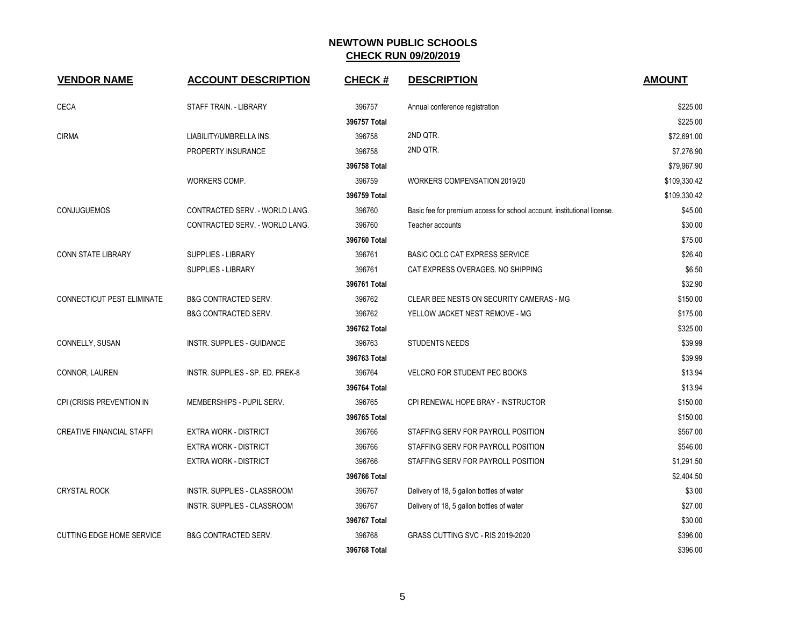| <b>VENDOR NAME</b>               | <b>ACCOUNT DESCRIPTION</b>       | <b>CHECK#</b> | <b>DESCRIPTION</b>                                                      | <b>AMOUNT</b> |
|----------------------------------|----------------------------------|---------------|-------------------------------------------------------------------------|---------------|
| <b>CECA</b>                      | STAFF TRAIN. - LIBRARY           | 396757        | Annual conference registration                                          | \$225.00      |
|                                  |                                  | 396757 Total  |                                                                         | \$225.00      |
| <b>CIRMA</b>                     | LIABILITY/UMBRELLA INS.          | 396758        | 2ND QTR.                                                                | \$72,691.00   |
|                                  | PROPERTY INSURANCE               | 396758        | 2ND QTR.                                                                | \$7,276.90    |
|                                  |                                  | 396758 Total  |                                                                         | \$79,967.90   |
|                                  | WORKERS COMP.                    | 396759        | WORKERS COMPENSATION 2019/20                                            | \$109,330.42  |
|                                  |                                  | 396759 Total  |                                                                         | \$109,330.42  |
| CONJUGUEMOS                      | CONTRACTED SERV. - WORLD LANG.   | 396760        | Basic fee for premium access for school account. institutional license. | \$45.00       |
|                                  | CONTRACTED SERV. - WORLD LANG.   | 396760        | Teacher accounts                                                        | \$30.00       |
|                                  |                                  | 396760 Total  |                                                                         | \$75.00       |
| <b>CONN STATE LIBRARY</b>        | SUPPLIES - LIBRARY               | 396761        | <b>BASIC OCLC CAT EXPRESS SERVICE</b>                                   | \$26.40       |
|                                  | <b>SUPPLIES - LIBRARY</b>        | 396761        | CAT EXPRESS OVERAGES. NO SHIPPING                                       | \$6.50        |
|                                  |                                  | 396761 Total  |                                                                         | \$32.90       |
| CONNECTICUT PEST ELIMINATE       | <b>B&amp;G CONTRACTED SERV.</b>  | 396762        | CLEAR BEE NESTS ON SECURITY CAMERAS - MG                                | \$150.00      |
|                                  | <b>B&amp;G CONTRACTED SERV.</b>  | 396762        | YELLOW JACKET NEST REMOVE - MG                                          | \$175.00      |
|                                  |                                  | 396762 Total  |                                                                         | \$325.00      |
| CONNELLY, SUSAN                  | INSTR. SUPPLIES - GUIDANCE       | 396763        | <b>STUDENTS NEEDS</b>                                                   | \$39.99       |
|                                  |                                  | 396763 Total  |                                                                         | \$39.99       |
| CONNOR, LAUREN                   | INSTR. SUPPLIES - SP. ED. PREK-8 | 396764        | <b>VELCRO FOR STUDENT PEC BOOKS</b>                                     | \$13.94       |
|                                  |                                  | 396764 Total  |                                                                         | \$13.94       |
| CPI (CRISIS PREVENTION IN        | MEMBERSHIPS - PUPIL SERV.        | 396765        | CPI RENEWAL HOPE BRAY - INSTRUCTOR                                      | \$150.00      |
|                                  |                                  | 396765 Total  |                                                                         | \$150.00      |
| <b>CREATIVE FINANCIAL STAFFI</b> | <b>EXTRA WORK - DISTRICT</b>     | 396766        | STAFFING SERV FOR PAYROLL POSITION                                      | \$567.00      |
|                                  | <b>EXTRA WORK - DISTRICT</b>     | 396766        | STAFFING SERV FOR PAYROLL POSITION                                      | \$546.00      |
|                                  | <b>EXTRA WORK - DISTRICT</b>     | 396766        | STAFFING SERV FOR PAYROLL POSITION                                      | \$1,291.50    |
|                                  |                                  | 396766 Total  |                                                                         | \$2,404.50    |
| <b>CRYSTAL ROCK</b>              | INSTR. SUPPLIES - CLASSROOM      | 396767        | Delivery of 18, 5 gallon bottles of water                               | \$3.00        |
|                                  | INSTR. SUPPLIES - CLASSROOM      | 396767        | Delivery of 18, 5 gallon bottles of water                               | \$27.00       |
|                                  |                                  | 396767 Total  |                                                                         | \$30.00       |
| CUTTING EDGE HOME SERVICE        | <b>B&amp;G CONTRACTED SERV.</b>  | 396768        | GRASS CUTTING SVC - RIS 2019-2020                                       | \$396.00      |
|                                  |                                  | 396768 Total  |                                                                         | \$396.00      |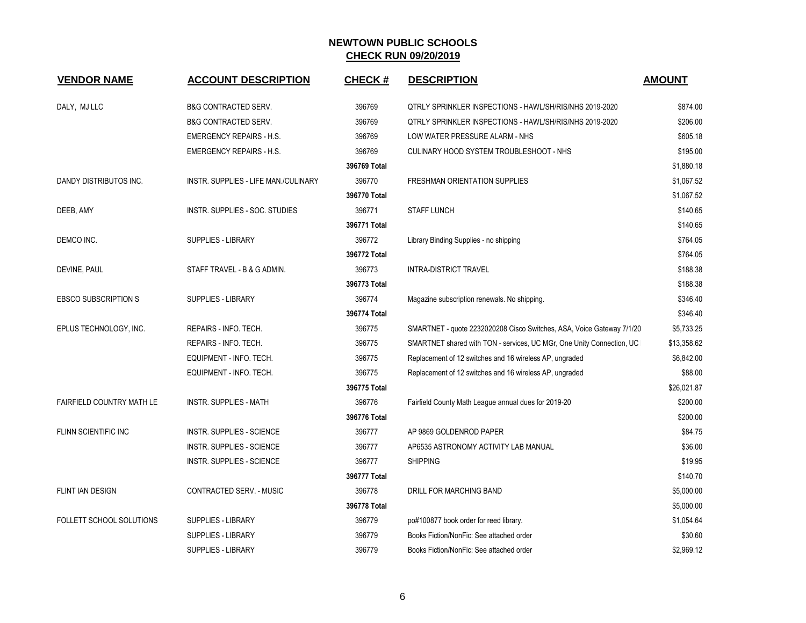| <b>VENDOR NAME</b>               | <b>ACCOUNT DESCRIPTION</b>           | <b>CHECK#</b> | <b>DESCRIPTION</b>                                                      | <b>AMOUNT</b> |
|----------------------------------|--------------------------------------|---------------|-------------------------------------------------------------------------|---------------|
| DALY, MJ LLC                     | <b>B&amp;G CONTRACTED SERV.</b>      | 396769        | QTRLY SPRINKLER INSPECTIONS - HAWL/SH/RIS/NHS 2019-2020                 | \$874.00      |
|                                  | <b>B&amp;G CONTRACTED SERV.</b>      | 396769        | QTRLY SPRINKLER INSPECTIONS - HAWL/SH/RIS/NHS 2019-2020                 | \$206.00      |
|                                  | <b>EMERGENCY REPAIRS - H.S.</b>      | 396769        | LOW WATER PRESSURE ALARM - NHS                                          | \$605.18      |
|                                  | <b>EMERGENCY REPAIRS - H.S.</b>      | 396769        | CULINARY HOOD SYSTEM TROUBLESHOOT - NHS                                 | \$195.00      |
|                                  |                                      | 396769 Total  |                                                                         | \$1,880.18    |
| DANDY DISTRIBUTOS INC.           | INSTR. SUPPLIES - LIFE MAN./CULINARY | 396770        | <b>FRESHMAN ORIENTATION SUPPLIES</b>                                    | \$1,067.52    |
|                                  |                                      | 396770 Total  |                                                                         | \$1,067.52    |
| DEEB, AMY                        | INSTR. SUPPLIES - SOC. STUDIES       | 396771        | STAFF LUNCH                                                             | \$140.65      |
|                                  |                                      | 396771 Total  |                                                                         | \$140.65      |
| DEMCO INC.                       | <b>SUPPLIES - LIBRARY</b>            | 396772        | Library Binding Supplies - no shipping                                  | \$764.05      |
|                                  |                                      | 396772 Total  |                                                                         | \$764.05      |
| DEVINE, PAUL                     | STAFF TRAVEL - B & G ADMIN.          | 396773        | <b>INTRA-DISTRICT TRAVEL</b>                                            | \$188.38      |
|                                  |                                      | 396773 Total  |                                                                         | \$188.38      |
| <b>EBSCO SUBSCRIPTION S</b>      | SUPPLIES - LIBRARY                   | 396774        | Magazine subscription renewals. No shipping.                            | \$346.40      |
|                                  |                                      | 396774 Total  |                                                                         | \$346.40      |
| EPLUS TECHNOLOGY, INC.           | REPAIRS - INFO. TECH.                | 396775        | SMARTNET - quote 2232020208 Cisco Switches, ASA, Voice Gateway 7/1/20   | \$5,733.25    |
|                                  | REPAIRS - INFO. TECH.                | 396775        | SMARTNET shared with TON - services, UC MGr, One Unity Connection, UC I | \$13,358.62   |
|                                  | EQUIPMENT - INFO. TECH.              | 396775        | Replacement of 12 switches and 16 wireless AP, ungraded                 | \$6,842.00    |
|                                  | EQUIPMENT - INFO. TECH.              | 396775        | Replacement of 12 switches and 16 wireless AP, ungraded                 | \$88.00       |
|                                  |                                      | 396775 Total  |                                                                         | \$26,021.87   |
| <b>FAIRFIELD COUNTRY MATH LE</b> | <b>INSTR. SUPPLIES - MATH</b>        | 396776        | Fairfield County Math League annual dues for 2019-20                    | \$200.00      |
|                                  |                                      | 396776 Total  |                                                                         | \$200.00      |
| FLINN SCIENTIFIC INC             | <b>INSTR. SUPPLIES - SCIENCE</b>     | 396777        | AP 9869 GOLDENROD PAPER                                                 | \$84.75       |
|                                  | <b>INSTR. SUPPLIES - SCIENCE</b>     | 396777        | AP6535 ASTRONOMY ACTIVITY LAB MANUAL                                    | \$36.00       |
|                                  | INSTR. SUPPLIES - SCIENCE            | 396777        | <b>SHIPPING</b>                                                         | \$19.95       |
|                                  |                                      | 396777 Total  |                                                                         | \$140.70      |
| FLINT IAN DESIGN                 | CONTRACTED SERV. - MUSIC             | 396778        | DRILL FOR MARCHING BAND                                                 | \$5,000.00    |
|                                  |                                      | 396778 Total  |                                                                         | \$5,000.00    |
| FOLLETT SCHOOL SOLUTIONS         | <b>SUPPLIES - LIBRARY</b>            | 396779        | po#100877 book order for reed library.                                  | \$1,054.64    |
|                                  | <b>SUPPLIES - LIBRARY</b>            | 396779        | Books Fiction/NonFic: See attached order                                | \$30.60       |
|                                  | <b>SUPPLIES - LIBRARY</b>            | 396779        | Books Fiction/NonFic: See attached order                                | \$2.969.12    |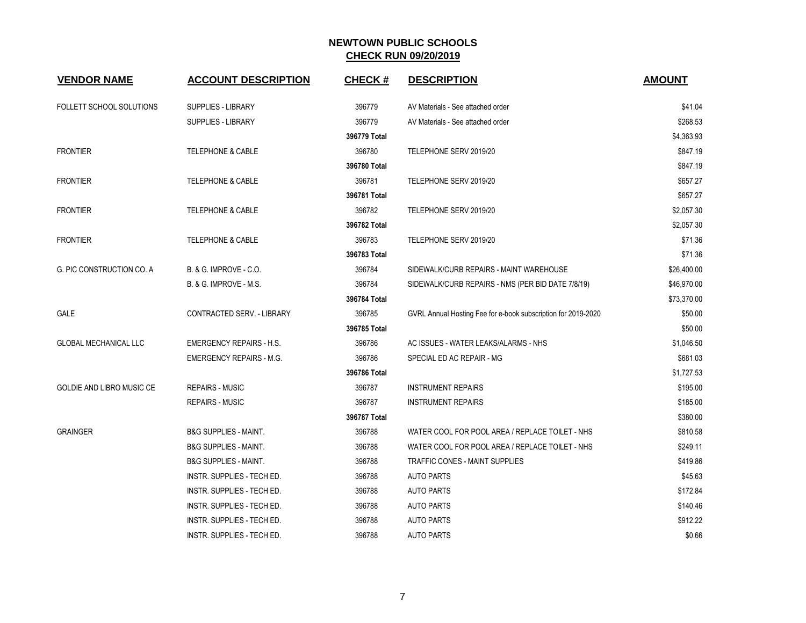| <b>VENDOR NAME</b>           | <b>ACCOUNT DESCRIPTION</b>        | <b>CHECK#</b> | <b>DESCRIPTION</b>                                            | <b>AMOUNT</b> |
|------------------------------|-----------------------------------|---------------|---------------------------------------------------------------|---------------|
| FOLLETT SCHOOL SOLUTIONS     | SUPPLIES - LIBRARY                | 396779        | AV Materials - See attached order                             | \$41.04       |
|                              | SUPPLIES - LIBRARY                | 396779        | AV Materials - See attached order                             | \$268.53      |
|                              |                                   | 396779 Total  |                                                               | \$4,363.93    |
| <b>FRONTIER</b>              | <b>TELEPHONE &amp; CABLE</b>      | 396780        | TELEPHONE SERV 2019/20                                        | \$847.19      |
|                              |                                   | 396780 Total  |                                                               | \$847.19      |
| <b>FRONTIER</b>              | <b>TELEPHONE &amp; CABLE</b>      | 396781        | TELEPHONE SERV 2019/20                                        | \$657.27      |
|                              |                                   | 396781 Total  |                                                               | \$657.27      |
| <b>FRONTIER</b>              | TELEPHONE & CABLE                 | 396782        | TELEPHONE SERV 2019/20                                        | \$2,057.30    |
|                              |                                   | 396782 Total  |                                                               | \$2,057.30    |
| <b>FRONTIER</b>              | <b>TELEPHONE &amp; CABLE</b>      | 396783        | TELEPHONE SERV 2019/20                                        | \$71.36       |
|                              |                                   | 396783 Total  |                                                               | \$71.36       |
| G. PIC CONSTRUCTION CO. A    | <b>B. &amp; G. IMPROVE - C.O.</b> | 396784        | SIDEWALK/CURB REPAIRS - MAINT WAREHOUSE                       | \$26,400.00   |
|                              | B. & G. IMPROVE - M.S.            | 396784        | SIDEWALK/CURB REPAIRS - NMS (PER BID DATE 7/8/19)             | \$46,970.00   |
|                              |                                   | 396784 Total  |                                                               | \$73,370.00   |
| GALE                         | CONTRACTED SERV. - LIBRARY        | 396785        | GVRL Annual Hosting Fee for e-book subscription for 2019-2020 | \$50.00       |
|                              |                                   | 396785 Total  |                                                               | \$50.00       |
| <b>GLOBAL MECHANICAL LLC</b> | <b>EMERGENCY REPAIRS - H.S.</b>   | 396786        | AC ISSUES - WATER LEAKS/ALARMS - NHS                          | \$1,046.50    |
|                              | <b>EMERGENCY REPAIRS - M.G.</b>   | 396786        | SPECIAL ED AC REPAIR - MG                                     | \$681.03      |
|                              |                                   | 396786 Total  |                                                               | \$1,727.53    |
| GOLDIE AND LIBRO MUSIC CE    | <b>REPAIRS - MUSIC</b>            | 396787        | <b>INSTRUMENT REPAIRS</b>                                     | \$195.00      |
|                              | <b>REPAIRS - MUSIC</b>            | 396787        | <b>INSTRUMENT REPAIRS</b>                                     | \$185.00      |
|                              |                                   | 396787 Total  |                                                               | \$380.00      |
| <b>GRAINGER</b>              | <b>B&amp;G SUPPLIES - MAINT.</b>  | 396788        | WATER COOL FOR POOL AREA / REPLACE TOILET - NHS               | \$810.58      |
|                              | <b>B&amp;G SUPPLIES - MAINT.</b>  | 396788        | WATER COOL FOR POOL AREA / REPLACE TOILET - NHS               | \$249.11      |
|                              | B&G SUPPLIES - MAINT.             | 396788        | TRAFFIC CONES - MAINT SUPPLIES                                | \$419.86      |
|                              | INSTR. SUPPLIES - TECH ED.        | 396788        | <b>AUTO PARTS</b>                                             | \$45.63       |
|                              | INSTR. SUPPLIES - TECH ED.        | 396788        | <b>AUTO PARTS</b>                                             | \$172.84      |
|                              | INSTR. SUPPLIES - TECH ED.        | 396788        | <b>AUTO PARTS</b>                                             | \$140.46      |
|                              | INSTR. SUPPLIES - TECH ED.        | 396788        | <b>AUTO PARTS</b>                                             | \$912.22      |
|                              | INSTR. SUPPLIES - TECH ED.        | 396788        | <b>AUTO PARTS</b>                                             | \$0.66        |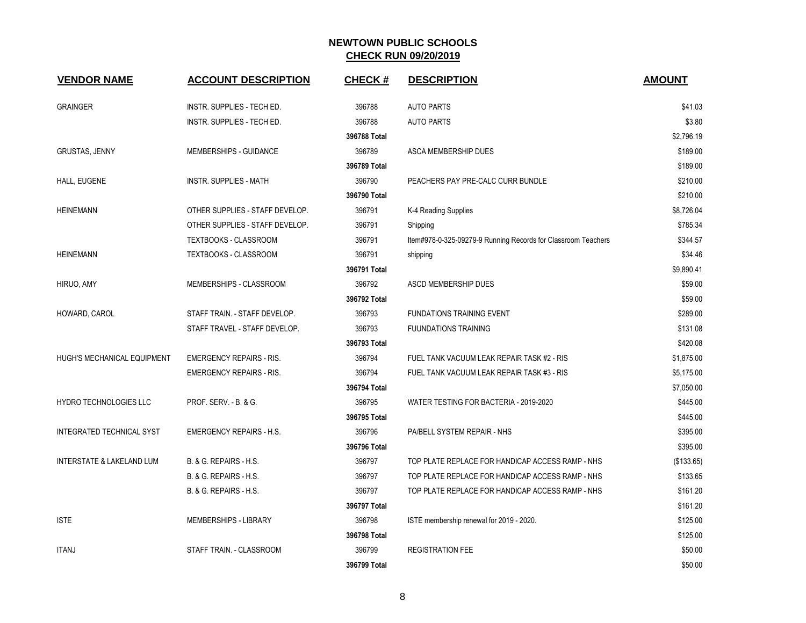| <b>VENDOR NAME</b>                   | <b>ACCOUNT DESCRIPTION</b>       | <b>CHECK#</b> | <b>DESCRIPTION</b>                                            | <b>AMOUNT</b> |
|--------------------------------------|----------------------------------|---------------|---------------------------------------------------------------|---------------|
| <b>GRAINGER</b>                      | INSTR. SUPPLIES - TECH ED.       | 396788        | <b>AUTO PARTS</b>                                             | \$41.03       |
|                                      | INSTR. SUPPLIES - TECH ED.       | 396788        | <b>AUTO PARTS</b>                                             | \$3.80        |
|                                      |                                  | 396788 Total  |                                                               | \$2.796.19    |
| <b>GRUSTAS, JENNY</b>                | MEMBERSHIPS - GUIDANCE           | 396789        | ASCA MEMBERSHIP DUES                                          | \$189.00      |
|                                      |                                  | 396789 Total  |                                                               | \$189.00      |
| HALL, EUGENE                         | <b>INSTR. SUPPLIES - MATH</b>    | 396790        | PEACHERS PAY PRE-CALC CURR BUNDLE                             | \$210.00      |
|                                      |                                  | 396790 Total  |                                                               | \$210.00      |
| <b>HEINEMANN</b>                     | OTHER SUPPLIES - STAFF DEVELOP.  | 396791        | K-4 Reading Supplies                                          | \$8,726.04    |
|                                      | OTHER SUPPLIES - STAFF DEVELOP.  | 396791        | Shipping                                                      | \$785.34      |
|                                      | TEXTBOOKS - CLASSROOM            | 396791        | Item#978-0-325-09279-9 Running Records for Classroom Teachers | \$344.57      |
| <b>HEINEMANN</b>                     | TEXTBOOKS - CLASSROOM            | 396791        | shipping                                                      | \$34.46       |
|                                      |                                  | 396791 Total  |                                                               | \$9,890.41    |
| HIRUO, AMY                           | MEMBERSHIPS - CLASSROOM          | 396792        | ASCD MEMBERSHIP DUES                                          | \$59.00       |
|                                      |                                  | 396792 Total  |                                                               | \$59.00       |
| HOWARD, CAROL                        | STAFF TRAIN. - STAFF DEVELOP.    | 396793        | <b>FUNDATIONS TRAINING EVENT</b>                              | \$289.00      |
|                                      | STAFF TRAVEL - STAFF DEVELOP.    | 396793        | <b>FUUNDATIONS TRAINING</b>                                   | \$131.08      |
|                                      |                                  | 396793 Total  |                                                               | \$420.08      |
| HUGH'S MECHANICAL EQUIPMENT          | <b>EMERGENCY REPAIRS - RIS.</b>  | 396794        | FUEL TANK VACUUM LEAK REPAIR TASK #2 - RIS                    | \$1,875.00    |
|                                      | <b>EMERGENCY REPAIRS - RIS.</b>  | 396794        | FUEL TANK VACUUM LEAK REPAIR TASK #3 - RIS                    | \$5,175.00    |
|                                      |                                  | 396794 Total  |                                                               | \$7,050.00    |
| <b>HYDRO TECHNOLOGIES LLC</b>        | <b>PROF. SERV. - B. &amp; G.</b> | 396795        | WATER TESTING FOR BACTERIA - 2019-2020                        | \$445.00      |
|                                      |                                  | 396795 Total  |                                                               | \$445.00      |
| INTEGRATED TECHNICAL SYST            | <b>EMERGENCY REPAIRS - H.S.</b>  | 396796        | PA/BELL SYSTEM REPAIR - NHS                                   | \$395.00      |
|                                      |                                  | 396796 Total  |                                                               | \$395.00      |
| <b>INTERSTATE &amp; LAKELAND LUM</b> | B. & G. REPAIRS - H.S.           | 396797        | TOP PLATE REPLACE FOR HANDICAP ACCESS RAMP - NHS              | (\$133.65)    |
|                                      | B. & G. REPAIRS - H.S.           | 396797        | TOP PLATE REPLACE FOR HANDICAP ACCESS RAMP - NHS              | \$133.65      |
|                                      | B. & G. REPAIRS - H.S.           | 396797        | TOP PLATE REPLACE FOR HANDICAP ACCESS RAMP - NHS              | \$161.20      |
|                                      |                                  | 396797 Total  |                                                               | \$161.20      |
| <b>ISTE</b>                          | MEMBERSHIPS - LIBRARY            | 396798        | ISTE membership renewal for 2019 - 2020.                      | \$125.00      |
|                                      |                                  | 396798 Total  |                                                               | \$125.00      |
| <b>ITANJ</b>                         | STAFF TRAIN. - CLASSROOM         | 396799        | <b>REGISTRATION FEE</b>                                       | \$50.00       |
|                                      |                                  | 396799 Total  |                                                               | \$50.00       |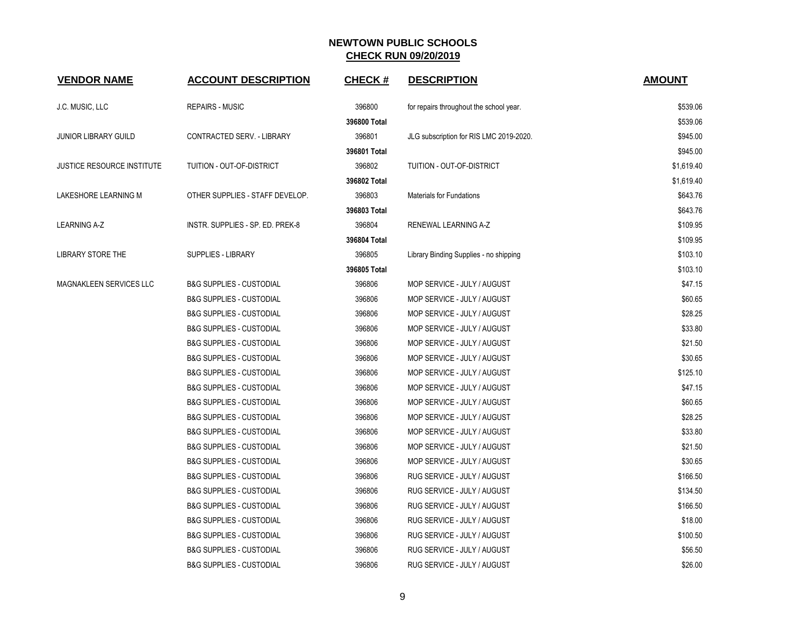| <b>VENDOR NAME</b>                | <b>ACCOUNT DESCRIPTION</b>          | <b>CHECK#</b> | <b>DESCRIPTION</b>                      | <b>AMOUNT</b> |
|-----------------------------------|-------------------------------------|---------------|-----------------------------------------|---------------|
| J.C. MUSIC, LLC                   | REPAIRS - MUSIC                     | 396800        | for repairs throughout the school year. | \$539.06      |
|                                   |                                     | 396800 Total  |                                         | \$539.06      |
| <b>JUNIOR LIBRARY GUILD</b>       | CONTRACTED SERV. - LIBRARY          | 396801        | JLG subscription for RIS LMC 2019-2020. | \$945.00      |
|                                   |                                     | 396801 Total  |                                         | \$945.00      |
| <b>JUSTICE RESOURCE INSTITUTE</b> | TUITION - OUT-OF-DISTRICT           | 396802        | TUITION - OUT-OF-DISTRICT               | \$1,619.40    |
|                                   |                                     | 396802 Total  |                                         | \$1,619.40    |
| LAKESHORE LEARNING M              | OTHER SUPPLIES - STAFF DEVELOP.     | 396803        | <b>Materials for Fundations</b>         | \$643.76      |
|                                   |                                     | 396803 Total  |                                         | \$643.76      |
| <b>LEARNING A-Z</b>               | INSTR. SUPPLIES - SP. ED. PREK-8    | 396804        | RENEWAL LEARNING A-Z                    | \$109.95      |
|                                   |                                     | 396804 Total  |                                         | \$109.95      |
| <b>LIBRARY STORE THE</b>          | <b>SUPPLIES - LIBRARY</b>           | 396805        | Library Binding Supplies - no shipping  | \$103.10      |
|                                   |                                     | 396805 Total  |                                         | \$103.10      |
| MAGNAKLEEN SERVICES LLC           | <b>B&amp;G SUPPLIES - CUSTODIAL</b> | 396806        | MOP SERVICE - JULY / AUGUST             | \$47.15       |
|                                   | <b>B&amp;G SUPPLIES - CUSTODIAL</b> | 396806        | MOP SERVICE - JULY / AUGUST             | \$60.65       |
|                                   | <b>B&amp;G SUPPLIES - CUSTODIAL</b> | 396806        | MOP SERVICE - JULY / AUGUST             | \$28.25       |
|                                   | <b>B&amp;G SUPPLIES - CUSTODIAL</b> | 396806        | MOP SERVICE - JULY / AUGUST             | \$33.80       |
|                                   | <b>B&amp;G SUPPLIES - CUSTODIAL</b> | 396806        | MOP SERVICE - JULY / AUGUST             | \$21.50       |
|                                   | <b>B&amp;G SUPPLIES - CUSTODIAL</b> | 396806        | MOP SERVICE - JULY / AUGUST             | \$30.65       |
|                                   | <b>B&amp;G SUPPLIES - CUSTODIAL</b> | 396806        | MOP SERVICE - JULY / AUGUST             | \$125.10      |
|                                   | <b>B&amp;G SUPPLIES - CUSTODIAL</b> | 396806        | MOP SERVICE - JULY / AUGUST             | \$47.15       |
|                                   | <b>B&amp;G SUPPLIES - CUSTODIAL</b> | 396806        | MOP SERVICE - JULY / AUGUST             | \$60.65       |
|                                   | <b>B&amp;G SUPPLIES - CUSTODIAL</b> | 396806        | MOP SERVICE - JULY / AUGUST             | \$28.25       |
|                                   | <b>B&amp;G SUPPLIES - CUSTODIAL</b> | 396806        | MOP SERVICE - JULY / AUGUST             | \$33.80       |
|                                   | <b>B&amp;G SUPPLIES - CUSTODIAL</b> | 396806        | MOP SERVICE - JULY / AUGUST             | \$21.50       |
|                                   | <b>B&amp;G SUPPLIES - CUSTODIAL</b> | 396806        | MOP SERVICE - JULY / AUGUST             | \$30.65       |
|                                   | <b>B&amp;G SUPPLIES - CUSTODIAL</b> | 396806        | RUG SERVICE - JULY / AUGUST             | \$166.50      |
|                                   | <b>B&amp;G SUPPLIES - CUSTODIAL</b> | 396806        | RUG SERVICE - JULY / AUGUST             | \$134.50      |
|                                   | <b>B&amp;G SUPPLIES - CUSTODIAL</b> | 396806        | RUG SERVICE - JULY / AUGUST             | \$166.50      |
|                                   | <b>B&amp;G SUPPLIES - CUSTODIAL</b> | 396806        | RUG SERVICE - JULY / AUGUST             | \$18.00       |
|                                   | <b>B&amp;G SUPPLIES - CUSTODIAL</b> | 396806        | RUG SERVICE - JULY / AUGUST             | \$100.50      |
|                                   | <b>B&amp;G SUPPLIES - CUSTODIAL</b> | 396806        | RUG SERVICE - JULY / AUGUST             | \$56.50       |
|                                   | <b>B&amp;G SUPPLIES - CUSTODIAL</b> | 396806        | RUG SERVICE - JULY / AUGUST             | \$26.00       |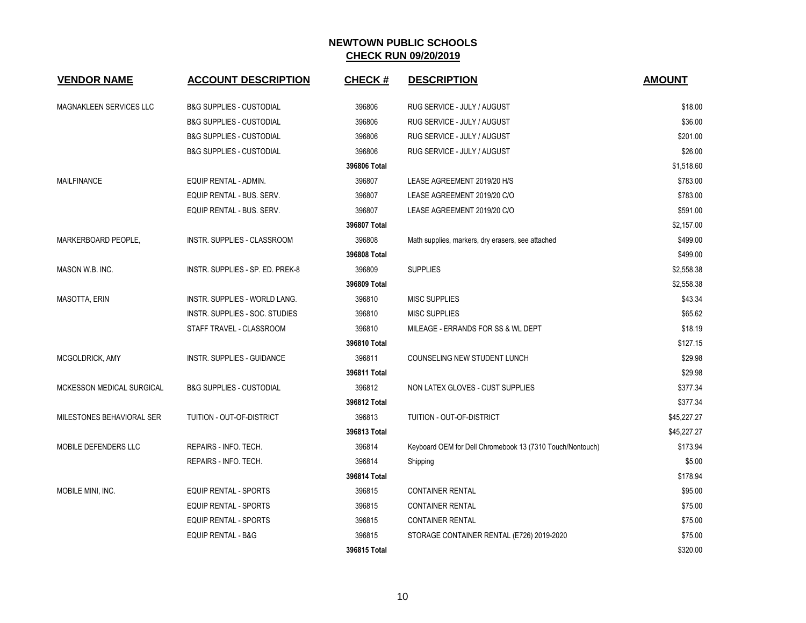| <b>VENDOR NAME</b>        | <b>ACCOUNT DESCRIPTION</b>          | <b>CHECK#</b> | <b>DESCRIPTION</b>                                        | <b>AMOUNT</b> |
|---------------------------|-------------------------------------|---------------|-----------------------------------------------------------|---------------|
| MAGNAKLEEN SERVICES LLC   | <b>B&amp;G SUPPLIES - CUSTODIAL</b> | 396806        | RUG SERVICE - JULY / AUGUST                               | \$18.00       |
|                           | <b>B&amp;G SUPPLIES - CUSTODIAL</b> | 396806        | RUG SERVICE - JULY / AUGUST                               | \$36.00       |
|                           | <b>B&amp;G SUPPLIES - CUSTODIAL</b> | 396806        | RUG SERVICE - JULY / AUGUST                               | \$201.00      |
|                           | <b>B&amp;G SUPPLIES - CUSTODIAL</b> | 396806        | RUG SERVICE - JULY / AUGUST                               | \$26.00       |
|                           |                                     | 396806 Total  |                                                           | \$1,518.60    |
| <b>MAILFINANCE</b>        | EQUIP RENTAL - ADMIN.               | 396807        | LEASE AGREEMENT 2019/20 H/S                               | \$783.00      |
|                           | EQUIP RENTAL - BUS. SERV.           | 396807        | LEASE AGREEMENT 2019/20 C/O                               | \$783.00      |
|                           | EQUIP RENTAL - BUS. SERV.           | 396807        | LEASE AGREEMENT 2019/20 C/O                               | \$591.00      |
|                           |                                     | 396807 Total  |                                                           | \$2,157.00    |
| MARKERBOARD PEOPLE,       | INSTR. SUPPLIES - CLASSROOM         | 396808        | Math supplies, markers, dry erasers, see attached         | \$499.00      |
|                           |                                     | 396808 Total  |                                                           | \$499.00      |
| MASON W.B. INC.           | INSTR. SUPPLIES - SP. ED. PREK-8    | 396809        | <b>SUPPLIES</b>                                           | \$2,558.38    |
|                           |                                     | 396809 Total  |                                                           | \$2,558.38    |
| MASOTTA, ERIN             | INSTR. SUPPLIES - WORLD LANG.       | 396810        | <b>MISC SUPPLIES</b>                                      | \$43.34       |
|                           | INSTR. SUPPLIES - SOC. STUDIES      | 396810        | <b>MISC SUPPLIES</b>                                      | \$65.62       |
|                           | STAFF TRAVEL - CLASSROOM            | 396810        | MILEAGE - ERRANDS FOR SS & WL DEPT                        | \$18.19       |
|                           |                                     | 396810 Total  |                                                           | \$127.15      |
| MCGOLDRICK, AMY           | INSTR. SUPPLIES - GUIDANCE          | 396811        | COUNSELING NEW STUDENT LUNCH                              | \$29.98       |
|                           |                                     | 396811 Total  |                                                           | \$29.98       |
| MCKESSON MEDICAL SURGICAL | <b>B&amp;G SUPPLIES - CUSTODIAL</b> | 396812        | NON LATEX GLOVES - CUST SUPPLIES                          | \$377.34      |
|                           |                                     | 396812 Total  |                                                           | \$377.34      |
| MILESTONES BEHAVIORAL SER | TUITION - OUT-OF-DISTRICT           | 396813        | TUITION - OUT-OF-DISTRICT                                 | \$45,227.27   |
|                           |                                     | 396813 Total  |                                                           | \$45,227.27   |
| MOBILE DEFENDERS LLC      | REPAIRS - INFO. TECH.               | 396814        | Keyboard OEM for Dell Chromebook 13 (7310 Touch/Nontouch) | \$173.94      |
|                           | REPAIRS - INFO. TECH.               | 396814        | Shipping                                                  | \$5.00        |
|                           |                                     | 396814 Total  |                                                           | \$178.94      |
| MOBILE MINI, INC.         | EQUIP RENTAL - SPORTS               | 396815        | <b>CONTAINER RENTAL</b>                                   | \$95.00       |
|                           | EQUIP RENTAL - SPORTS               | 396815        | <b>CONTAINER RENTAL</b>                                   | \$75.00       |
|                           | <b>EQUIP RENTAL - SPORTS</b>        | 396815        | <b>CONTAINER RENTAL</b>                                   | \$75.00       |
|                           | <b>EQUIP RENTAL - B&amp;G</b>       | 396815        | STORAGE CONTAINER RENTAL (E726) 2019-2020                 | \$75.00       |
|                           |                                     | 396815 Total  |                                                           | \$320.00      |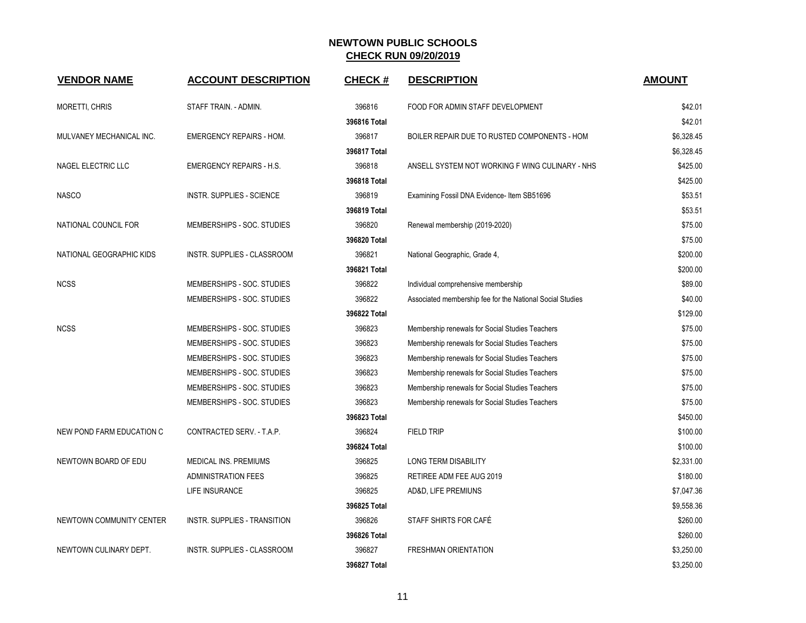| <b>VENDOR NAME</b>        | <b>ACCOUNT DESCRIPTION</b>          | <b>CHECK#</b> | <b>DESCRIPTION</b>                                        | <b>AMOUNT</b> |
|---------------------------|-------------------------------------|---------------|-----------------------------------------------------------|---------------|
| <b>MORETTI, CHRIS</b>     | STAFF TRAIN. - ADMIN.               | 396816        | FOOD FOR ADMIN STAFF DEVELOPMENT                          | \$42.01       |
|                           |                                     | 396816 Total  |                                                           | \$42.01       |
| MULVANEY MECHANICAL INC.  | <b>EMERGENCY REPAIRS - HOM.</b>     | 396817        | BOILER REPAIR DUE TO RUSTED COMPONENTS - HOM              | \$6,328.45    |
|                           |                                     | 396817 Total  |                                                           | \$6,328.45    |
| <b>NAGEL ELECTRIC LLC</b> | <b>EMERGENCY REPAIRS - H.S.</b>     | 396818        | ANSELL SYSTEM NOT WORKING F WING CULINARY - NHS           | \$425.00      |
|                           |                                     | 396818 Total  |                                                           | \$425.00      |
| <b>NASCO</b>              | INSTR. SUPPLIES - SCIENCE           | 396819        | Examining Fossil DNA Evidence- Item SB51696               | \$53.51       |
|                           |                                     | 396819 Total  |                                                           | \$53.51       |
| NATIONAL COUNCIL FOR      | MEMBERSHIPS - SOC. STUDIES          | 396820        | Renewal membership (2019-2020)                            | \$75.00       |
|                           |                                     | 396820 Total  |                                                           | \$75.00       |
| NATIONAL GEOGRAPHIC KIDS  | INSTR. SUPPLIES - CLASSROOM         | 396821        | National Geographic, Grade 4,                             | \$200.00      |
|                           |                                     | 396821 Total  |                                                           | \$200.00      |
| <b>NCSS</b>               | MEMBERSHIPS - SOC. STUDIES          | 396822        | Individual comprehensive membership                       | \$89.00       |
|                           | MEMBERSHIPS - SOC. STUDIES          | 396822        | Associated membership fee for the National Social Studies | \$40.00       |
|                           |                                     | 396822 Total  |                                                           | \$129.00      |
| <b>NCSS</b>               | MEMBERSHIPS - SOC. STUDIES          | 396823        | Membership renewals for Social Studies Teachers           | \$75.00       |
|                           | MEMBERSHIPS - SOC. STUDIES          | 396823        | Membership renewals for Social Studies Teachers           | \$75.00       |
|                           | MEMBERSHIPS - SOC. STUDIES          | 396823        | Membership renewals for Social Studies Teachers           | \$75.00       |
|                           | MEMBERSHIPS - SOC. STUDIES          | 396823        | Membership renewals for Social Studies Teachers           | \$75.00       |
|                           | MEMBERSHIPS - SOC. STUDIES          | 396823        | Membership renewals for Social Studies Teachers           | \$75.00       |
|                           | MEMBERSHIPS - SOC. STUDIES          | 396823        | Membership renewals for Social Studies Teachers           | \$75.00       |
|                           |                                     | 396823 Total  |                                                           | \$450.00      |
| NEW POND FARM EDUCATION C | CONTRACTED SERV. - T.A.P.           | 396824        | <b>FIELD TRIP</b>                                         | \$100.00      |
|                           |                                     | 396824 Total  |                                                           | \$100.00      |
| NEWTOWN BOARD OF EDU      | MEDICAL INS. PREMIUMS               | 396825        | LONG TERM DISABILITY                                      | \$2,331.00    |
|                           | <b>ADMINISTRATION FEES</b>          | 396825        | RETIREE ADM FEE AUG 2019                                  | \$180.00      |
|                           | LIFE INSURANCE                      | 396825        | AD&D, LIFE PREMIUNS                                       | \$7,047.36    |
|                           |                                     | 396825 Total  |                                                           | \$9,558.36    |
| NEWTOWN COMMUNITY CENTER  | <b>INSTR. SUPPLIES - TRANSITION</b> | 396826        | STAFF SHIRTS FOR CAFÉ                                     | \$260.00      |
|                           |                                     | 396826 Total  |                                                           | \$260.00      |
| NEWTOWN CULINARY DEPT.    | INSTR. SUPPLIES - CLASSROOM         | 396827        | <b>FRESHMAN ORIENTATION</b>                               | \$3,250.00    |
|                           |                                     | 396827 Total  |                                                           | \$3,250.00    |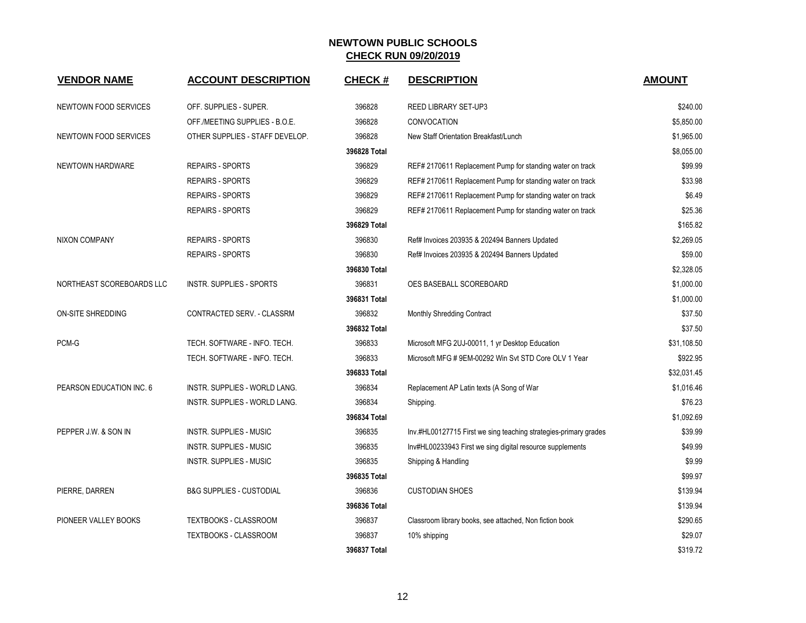| <b>VENDOR NAME</b>        | <b>ACCOUNT DESCRIPTION</b>          | <b>CHECK#</b> | <b>DESCRIPTION</b>                                               | <b>AMOUNT</b> |
|---------------------------|-------------------------------------|---------------|------------------------------------------------------------------|---------------|
| NEWTOWN FOOD SERVICES     | OFF. SUPPLIES - SUPER.              | 396828        | <b>REED LIBRARY SET-UP3</b>                                      | \$240.00      |
|                           | OFF./MEETING SUPPLIES - B.O.E.      | 396828        | CONVOCATION                                                      | \$5.850.00    |
| NEWTOWN FOOD SERVICES     | OTHER SUPPLIES - STAFF DEVELOP.     | 396828        | New Staff Orientation Breakfast/Lunch                            | \$1,965.00    |
|                           |                                     | 396828 Total  |                                                                  | \$8,055.00    |
| NEWTOWN HARDWARE          | <b>REPAIRS - SPORTS</b>             | 396829        | REF# 2170611 Replacement Pump for standing water on track        | \$99.99       |
|                           | <b>REPAIRS - SPORTS</b>             | 396829        | REF# 2170611 Replacement Pump for standing water on track        | \$33.98       |
|                           | <b>REPAIRS - SPORTS</b>             | 396829        | REF# 2170611 Replacement Pump for standing water on track        | \$6.49        |
|                           | <b>REPAIRS - SPORTS</b>             | 396829        | REF# 2170611 Replacement Pump for standing water on track        | \$25.36       |
|                           |                                     | 396829 Total  |                                                                  | \$165.82      |
| <b>NIXON COMPANY</b>      | <b>REPAIRS - SPORTS</b>             | 396830        | Ref# Invoices 203935 & 202494 Banners Updated                    | \$2,269.05    |
|                           | <b>REPAIRS - SPORTS</b>             | 396830        | Ref# Invoices 203935 & 202494 Banners Updated                    | \$59.00       |
|                           |                                     | 396830 Total  |                                                                  | \$2.328.05    |
| NORTHEAST SCOREBOARDS LLC | INSTR. SUPPLIES - SPORTS            | 396831        | OES BASEBALL SCOREBOARD                                          | \$1,000.00    |
|                           |                                     | 396831 Total  |                                                                  | \$1,000.00    |
| ON-SITE SHREDDING         | CONTRACTED SERV. - CLASSRM          | 396832        | Monthly Shredding Contract                                       | \$37.50       |
|                           |                                     | 396832 Total  |                                                                  | \$37.50       |
| PCM-G                     | TECH. SOFTWARE - INFO. TECH.        | 396833        | Microsoft MFG 2UJ-00011, 1 yr Desktop Education                  | \$31,108.50   |
|                           | TECH. SOFTWARE - INFO. TECH.        | 396833        | Microsoft MFG # 9EM-00292 Win Svt STD Core OLV 1 Year            | \$922.95      |
|                           |                                     | 396833 Total  |                                                                  | \$32,031.45   |
| PEARSON EDUCATION INC. 6  | INSTR. SUPPLIES - WORLD LANG.       | 396834        | Replacement AP Latin texts (A Song of War                        | \$1,016.46    |
|                           | INSTR. SUPPLIES - WORLD LANG.       | 396834        | Shipping.                                                        | \$76.23       |
|                           |                                     | 396834 Total  |                                                                  | \$1,092.69    |
| PEPPER J.W. & SON IN      | <b>INSTR. SUPPLIES - MUSIC</b>      | 396835        | Inv.#HL00127715 First we sing teaching strategies-primary grades | \$39.99       |
|                           | <b>INSTR. SUPPLIES - MUSIC</b>      | 396835        | Inv#HL00233943 First we sing digital resource supplements        | \$49.99       |
|                           | INSTR. SUPPLIES - MUSIC             | 396835        | Shipping & Handling                                              | \$9.99        |
|                           |                                     | 396835 Total  |                                                                  | \$99.97       |
| PIERRE, DARREN            | <b>B&amp;G SUPPLIES - CUSTODIAL</b> | 396836        | <b>CUSTODIAN SHOES</b>                                           | \$139.94      |
|                           |                                     | 396836 Total  |                                                                  | \$139.94      |
| PIONEER VALLEY BOOKS      | <b>TEXTBOOKS - CLASSROOM</b>        | 396837        | Classroom library books, see attached, Non fiction book          | \$290.65      |
|                           | TEXTBOOKS - CLASSROOM               | 396837        | 10% shipping                                                     | \$29.07       |
|                           |                                     | 396837 Total  |                                                                  | \$319.72      |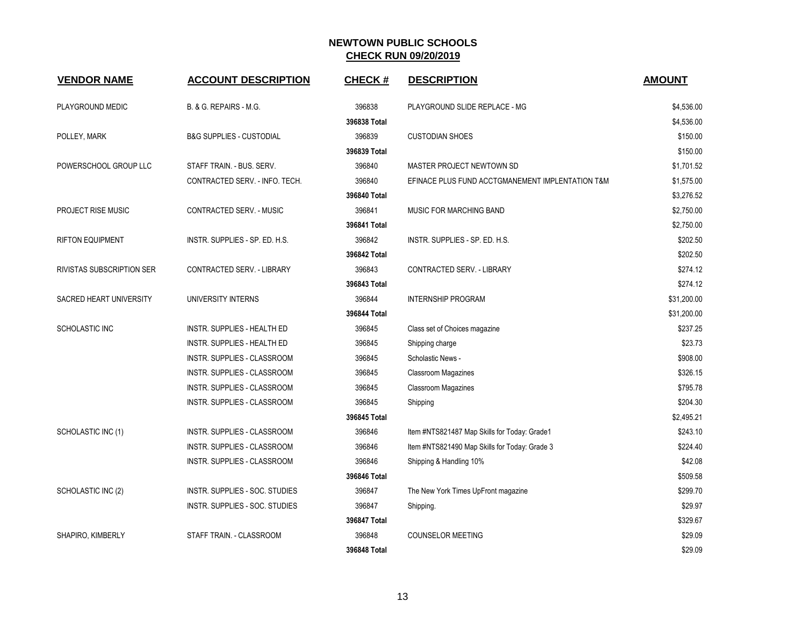| <b>VENDOR NAME</b>               | <b>ACCOUNT DESCRIPTION</b>          | <b>CHECK#</b> | <b>DESCRIPTION</b>                               | <b>AMOUNT</b> |
|----------------------------------|-------------------------------------|---------------|--------------------------------------------------|---------------|
| PLAYGROUND MEDIC                 | B. & G. REPAIRS - M.G.              | 396838        | PLAYGROUND SLIDE REPLACE - MG                    | \$4,536.00    |
|                                  |                                     | 396838 Total  |                                                  | \$4,536.00    |
| POLLEY, MARK                     | <b>B&amp;G SUPPLIES - CUSTODIAL</b> | 396839        | <b>CUSTODIAN SHOES</b>                           | \$150.00      |
|                                  |                                     | 396839 Total  |                                                  | \$150.00      |
| POWERSCHOOL GROUP LLC            | STAFF TRAIN. - BUS. SERV.           | 396840        | MASTER PROJECT NEWTOWN SD                        | \$1,701.52    |
|                                  | CONTRACTED SERV. - INFO. TECH.      | 396840        | EFINACE PLUS FUND ACCTGMANEMENT IMPLENTATION T&M | \$1,575.00    |
|                                  |                                     | 396840 Total  |                                                  | \$3,276.52    |
| PROJECT RISE MUSIC               | CONTRACTED SERV. - MUSIC            | 396841        | <b>MUSIC FOR MARCHING BAND</b>                   | \$2,750.00    |
|                                  |                                     | 396841 Total  |                                                  | \$2,750.00    |
| <b>RIFTON EQUIPMENT</b>          | INSTR. SUPPLIES - SP. ED. H.S.      | 396842        | INSTR. SUPPLIES - SP. ED. H.S.                   | \$202.50      |
|                                  |                                     | 396842 Total  |                                                  | \$202.50      |
| <b>RIVISTAS SUBSCRIPTION SER</b> | CONTRACTED SERV. - LIBRARY          | 396843        | CONTRACTED SERV. - LIBRARY                       | \$274.12      |
|                                  |                                     | 396843 Total  |                                                  | \$274.12      |
| SACRED HEART UNIVERSITY          | UNIVERSITY INTERNS                  | 396844        | <b>INTERNSHIP PROGRAM</b>                        | \$31,200.00   |
|                                  |                                     | 396844 Total  |                                                  | \$31,200.00   |
| SCHOLASTIC INC                   | INSTR. SUPPLIES - HEALTH ED         | 396845        | Class set of Choices magazine                    | \$237.25      |
|                                  | INSTR. SUPPLIES - HEALTH ED         | 396845        | Shipping charge                                  | \$23.73       |
|                                  | INSTR. SUPPLIES - CLASSROOM         | 396845        | Scholastic News -                                | \$908.00      |
|                                  | INSTR. SUPPLIES - CLASSROOM         | 396845        | Classroom Magazines                              | \$326.15      |
|                                  | INSTR. SUPPLIES - CLASSROOM         | 396845        | Classroom Magazines                              | \$795.78      |
|                                  | <b>INSTR. SUPPLIES - CLASSROOM</b>  | 396845        | Shipping                                         | \$204.30      |
|                                  |                                     | 396845 Total  |                                                  | \$2,495.21    |
| SCHOLASTIC INC (1)               | INSTR. SUPPLIES - CLASSROOM         | 396846        | Item #NTS821487 Map Skills for Today: Grade1     | \$243.10      |
|                                  | INSTR. SUPPLIES - CLASSROOM         | 396846        | Item #NTS821490 Map Skills for Today: Grade 3    | \$224.40      |
|                                  | INSTR. SUPPLIES - CLASSROOM         | 396846        | Shipping & Handling 10%                          | \$42.08       |
|                                  |                                     | 396846 Total  |                                                  | \$509.58      |
| SCHOLASTIC INC (2)               | INSTR. SUPPLIES - SOC. STUDIES      | 396847        | The New York Times UpFront magazine              | \$299.70      |
|                                  | INSTR. SUPPLIES - SOC. STUDIES      | 396847        | Shipping.                                        | \$29.97       |
|                                  |                                     | 396847 Total  |                                                  | \$329.67      |
| SHAPIRO, KIMBERLY                | STAFF TRAIN. - CLASSROOM            | 396848        | <b>COUNSELOR MEETING</b>                         | \$29.09       |
|                                  |                                     | 396848 Total  |                                                  | \$29.09       |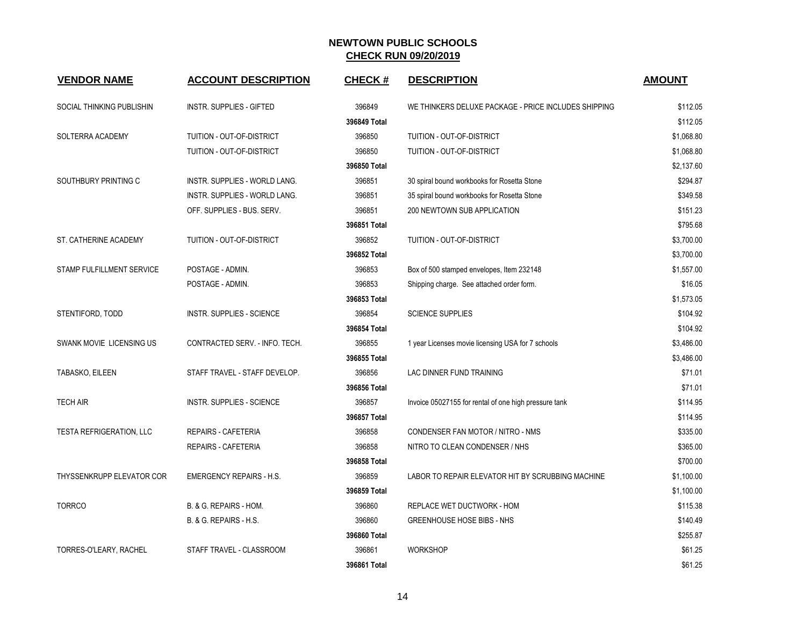| <b>VENDOR NAME</b>        | <b>ACCOUNT DESCRIPTION</b>       | <b>CHECK#</b> | <b>DESCRIPTION</b>                                    | <b>AMOUNT</b> |
|---------------------------|----------------------------------|---------------|-------------------------------------------------------|---------------|
| SOCIAL THINKING PUBLISHIN | <b>INSTR. SUPPLIES - GIFTED</b>  | 396849        | WE THINKERS DELUXE PACKAGE - PRICE INCLUDES SHIPPING  | \$112.05      |
|                           |                                  | 396849 Total  |                                                       | \$112.05      |
| SOLTERRA ACADEMY          | TUITION - OUT-OF-DISTRICT        | 396850        | TUITION - OUT-OF-DISTRICT                             | \$1,068.80    |
|                           | TUITION - OUT-OF-DISTRICT        | 396850        | TUITION - OUT-OF-DISTRICT                             | \$1,068.80    |
|                           |                                  | 396850 Total  |                                                       | \$2,137.60    |
| SOUTHBURY PRINTING C      | INSTR. SUPPLIES - WORLD LANG.    | 396851        | 30 spiral bound workbooks for Rosetta Stone           | \$294.87      |
|                           | INSTR. SUPPLIES - WORLD LANG.    | 396851        | 35 spiral bound workbooks for Rosetta Stone           | \$349.58      |
|                           | OFF. SUPPLIES - BUS. SERV.       | 396851        | 200 NEWTOWN SUB APPLICATION                           | \$151.23      |
|                           |                                  | 396851 Total  |                                                       | \$795.68      |
| ST. CATHERINE ACADEMY     | TUITION - OUT-OF-DISTRICT        | 396852        | TUITION - OUT-OF-DISTRICT                             | \$3,700.00    |
|                           |                                  | 396852 Total  |                                                       | \$3,700.00    |
| STAMP FULFILLMENT SERVICE | POSTAGE - ADMIN.                 | 396853        | Box of 500 stamped envelopes, Item 232148             | \$1,557.00    |
|                           | POSTAGE - ADMIN.                 | 396853        | Shipping charge. See attached order form.             | \$16.05       |
|                           |                                  | 396853 Total  |                                                       | \$1,573.05    |
| STENTIFORD, TODD          | <b>INSTR. SUPPLIES - SCIENCE</b> | 396854        | <b>SCIENCE SUPPLIES</b>                               | \$104.92      |
|                           |                                  | 396854 Total  |                                                       | \$104.92      |
| SWANK MOVIE LICENSING US  | CONTRACTED SERV. - INFO. TECH.   | 396855        | 1 year Licenses movie licensing USA for 7 schools     | \$3,486.00    |
|                           |                                  | 396855 Total  |                                                       | \$3,486.00    |
| TABASKO, EILEEN           | STAFF TRAVEL - STAFF DEVELOP.    | 396856        | LAC DINNER FUND TRAINING                              | \$71.01       |
|                           |                                  | 396856 Total  |                                                       | \$71.01       |
| <b>TECH AIR</b>           | <b>INSTR. SUPPLIES - SCIENCE</b> | 396857        | Invoice 05027155 for rental of one high pressure tank | \$114.95      |
|                           |                                  | 396857 Total  |                                                       | \$114.95      |
| TESTA REFRIGERATION, LLC  | REPAIRS - CAFETERIA              | 396858        | CONDENSER FAN MOTOR / NITRO - NMS                     | \$335.00      |
|                           | <b>REPAIRS - CAFETERIA</b>       | 396858        | NITRO TO CLEAN CONDENSER / NHS                        | \$365.00      |
|                           |                                  | 396858 Total  |                                                       | \$700.00      |
| THYSSENKRUPP ELEVATOR COR | <b>EMERGENCY REPAIRS - H.S.</b>  | 396859        | LABOR TO REPAIR ELEVATOR HIT BY SCRUBBING MACHINE     | \$1,100.00    |
|                           |                                  | 396859 Total  |                                                       | \$1,100.00    |
| <b>TORRCO</b>             | B. & G. REPAIRS - HOM.           | 396860        | REPLACE WET DUCTWORK - HOM                            | \$115.38      |
|                           | B. & G. REPAIRS - H.S.           | 396860        | <b>GREENHOUSE HOSE BIBS - NHS</b>                     | \$140.49      |
|                           |                                  | 396860 Total  |                                                       | \$255.87      |
| TORRES-O'LEARY, RACHEL    | STAFF TRAVEL - CLASSROOM         | 396861        | <b>WORKSHOP</b>                                       | \$61.25       |
|                           |                                  | 396861 Total  |                                                       | \$61.25       |